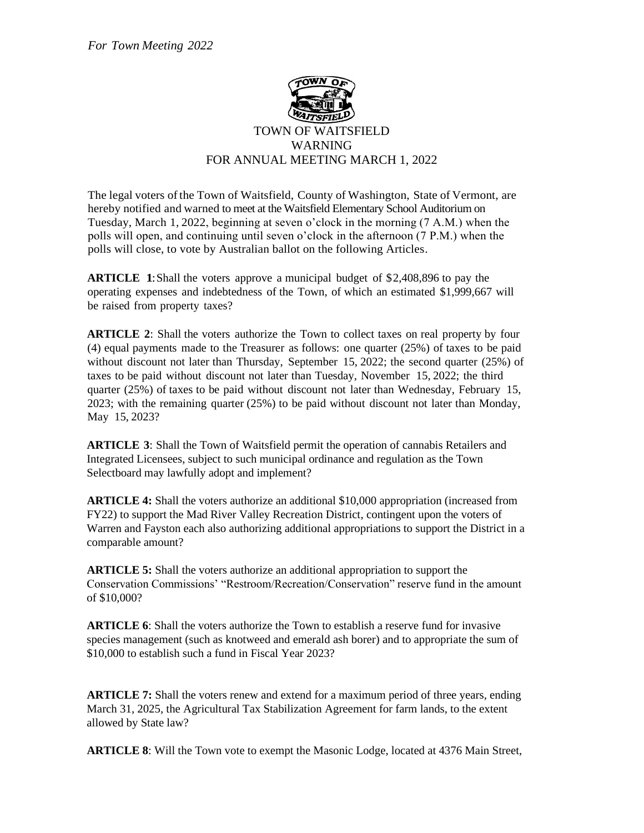

The legal voters of the Town of Waitsfield, County of Washington, State of Vermont, are hereby notified and warned to meet at the Waitsfield Elementary School Auditorium on Tuesday, March 1, 2022, beginning at seven o'clock in the morning (7 A.M.) when the polls will open, and continuing until seven o'clock in the afternoon (7 P.M.) when the polls will close, to vote by Australian ballot on the following Articles.

**ARTICLE 1**:Shall the voters approve a municipal budget of \$2,408,896 to pay the operating expenses and indebtedness of the Town, of which an estimated \$1,999,667 will be raised from property taxes?

**ARTICLE 2**: Shall the voters authorize the Town to collect taxes on real property by four (4) equal payments made to the Treasurer as follows: one quarter (25%) of taxes to be paid without discount not later than Thursday, September 15, 2022; the second quarter (25%) of taxes to be paid without discount not later than Tuesday, November 15, 2022; the third quarter (25%) of taxes to be paid without discount not later than Wednesday, February 15, 2023; with the remaining quarter (25%) to be paid without discount not later than Monday, May 15, 2023?

**ARTICLE 3**: Shall the Town of Waitsfield permit the operation of cannabis Retailers and Integrated Licensees, subject to such municipal ordinance and regulation as the Town Selectboard may lawfully adopt and implement?

**ARTICLE 4:** Shall the voters authorize an additional \$10,000 appropriation (increased from FY22) to support the Mad River Valley Recreation District, contingent upon the voters of Warren and Fayston each also authorizing additional appropriations to support the District in a comparable amount?

**ARTICLE 5:** Shall the voters authorize an additional appropriation to support the Conservation Commissions' "Restroom/Recreation/Conservation" reserve fund in the amount of \$10,000?

**ARTICLE 6**: Shall the voters authorize the Town to establish a reserve fund for invasive species management (such as knotweed and emerald ash borer) and to appropriate the sum of \$10,000 to establish such a fund in Fiscal Year 2023?

**ARTICLE 7:** Shall the voters renew and extend for a maximum period of three years, ending March 31, 2025, the Agricultural Tax Stabilization Agreement for farm lands, to the extent allowed by State law?

**ARTICLE 8**: Will the Town vote to exempt the Masonic Lodge, located at 4376 Main Street,